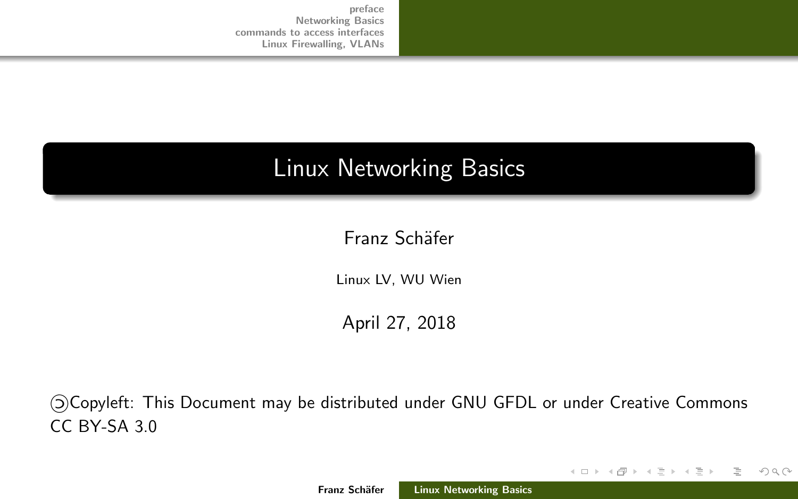# <span id="page-0-0"></span>Linux Networking Basics

Franz Schäfer

Linux LV, WU Wien

April 27, 2018

«Copyleft: This Document may be distributed under GNU GFDL or under Creative Commons CC BY-SA 3.0

イロト イ部 トイモト イモト

 $OQ$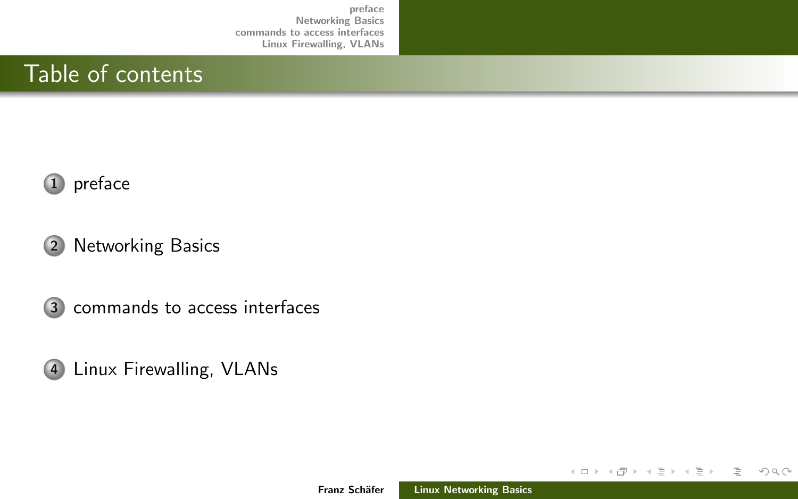## Table of contents



### 2 [Networking Basics](#page-4-0)

3 [commands to access interfaces](#page-7-0)



イロト イ御 トイモト イモト

 $\equiv$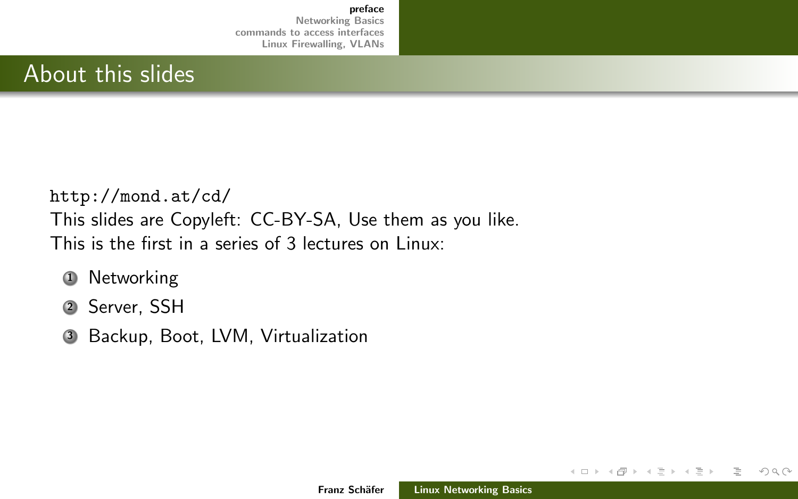## <span id="page-2-0"></span>About this slides

<http://mond.at/cd/> This slides are Copyleft: CC-BY-SA, Use them as you like. This is the first in a series of 3 lectures on Linux:

- **1** Networking
- <sup>2</sup> Server, SSH
- <sup>3</sup> Backup, Boot, LVM, Virtualization

イロト イ部 トイモト イモト

 $OQ$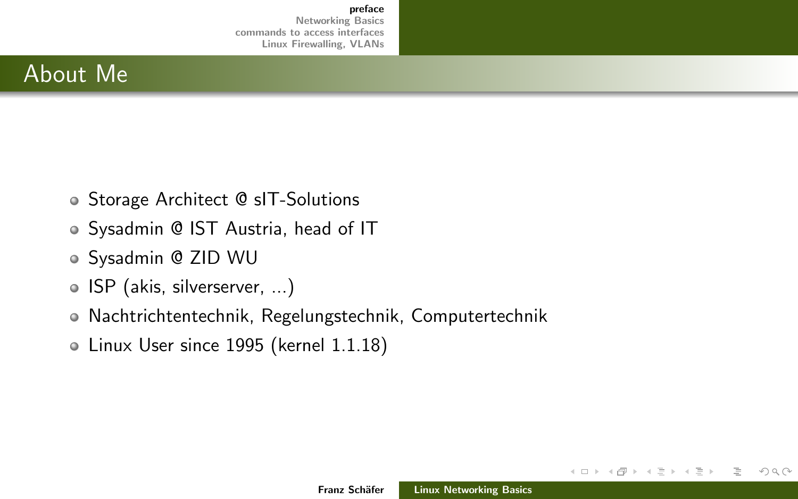## About Me

- Storage Architect @ sIT-Solutions
- Sysadmin @ IST Austria, head of IT
- Sysadmin @ ZID WU
- ISP (akis, silverserver, ...)
- Nachtrichtentechnik, Regelungstechnik, Computertechnik
- Linux User since 1995 (kernel 1.1.18)

イロト イ部 トイモト イモト

 $OQ$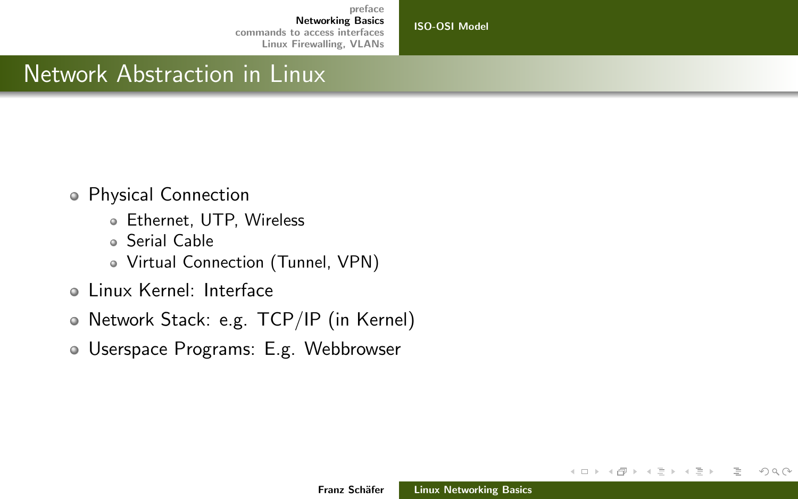[ISO-OSI Model](#page-4-0)

## <span id="page-4-0"></span>Network Abstraction in Linux

- Physical Connection
	- Ethernet, UTP, Wireless
	- Serial Cable
	- Virtual Connection (Tunnel, VPN)
- Linux Kernel: Interface
- Network Stack: e.g. TCP/IP (in Kernel)
- Userspace Programs: E.g. Webbrowser

 $OQ$ 

目

イロト イ部 トイモト イモト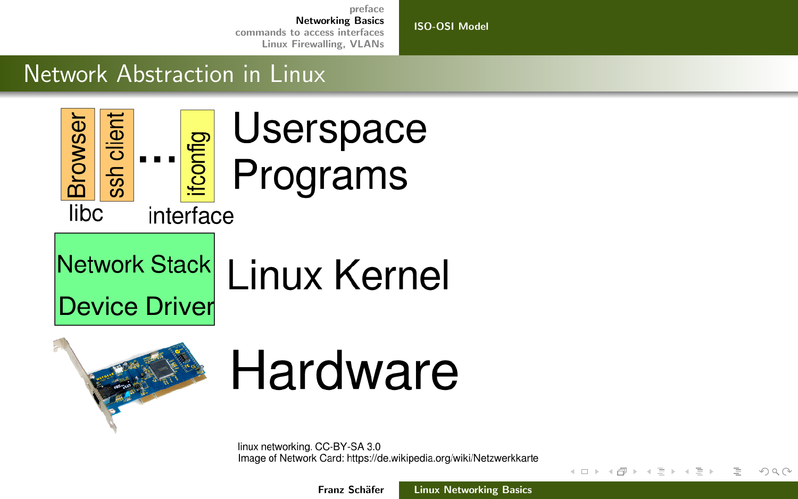[ISO-OSI Model](#page-4-0)

## Network Abstraction in Linux





# **Hardware**

linux networking. CC-BY-SA 3.0 Image of Network Card: https://de.wikipedia.org/wiki/Netzwerkkarte

Franz Schäfer [Linux Networking Basics](#page-0-0)

- ← ロ ▶ → ( 母 ▶ → ( 三

 $\rightarrow$   $\rightarrow$   $\equiv$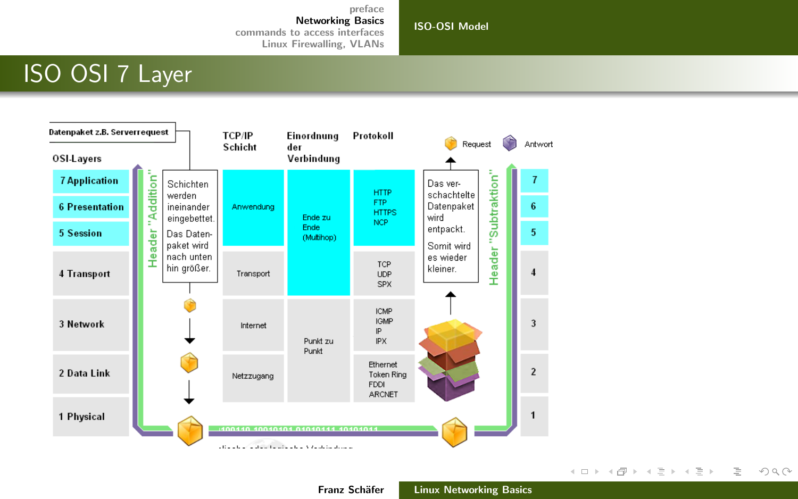[ISO-OSI Model](#page-4-0)

# ISO OSI 7 Layer



Franz Schäfer [Linux Networking Basics](#page-0-0)

 $\equiv$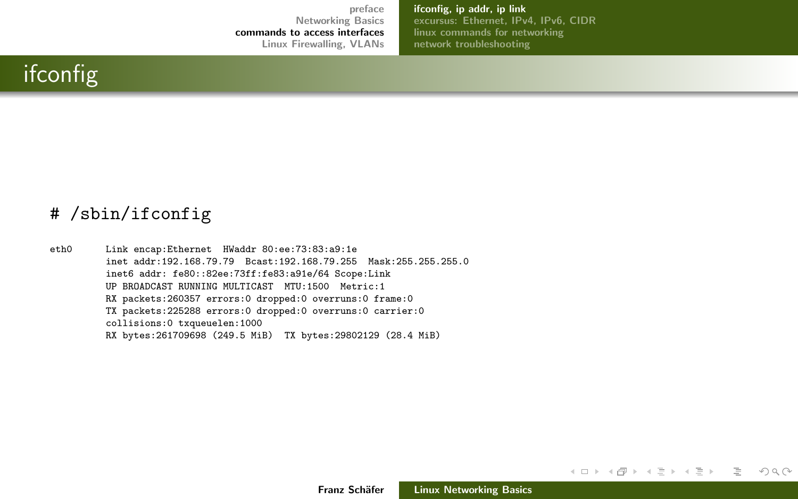[ifconfig, ip addr, ip link](#page-7-0) [excursus: Ethernet, IPv4, IPv6, CIDR](#page-9-0) [linux commands for networking](#page-14-0) [network troubleshooting](#page-25-0)

## <span id="page-7-0"></span>ifconfig

#### # /sbin/ifconfig

eth0 Link encap:Ethernet HWaddr 80:ee:73:83:a9:1e inet addr:192.168.79.79 Bcast:192.168.79.255 Mask:255.255.255.0 inet6 addr: fe80::82ee:73ff:fe83:a91e/64 Scope:Link UP BROADCAST RUNNING MULTICAST MTU:1500 Metric:1 RX packets:260357 errors:0 dropped:0 overruns:0 frame:0 TX packets:225288 errors:0 dropped:0 overruns:0 carrier:0 collisions:0 txqueuelen:1000 RX bytes:261709698 (249.5 MiB) TX bytes:29802129 (28.4 MiB)

Franz Schäfer [Linux Networking Basics](#page-0-0)

イロト イ部 トイミト イミト

目  $OQ$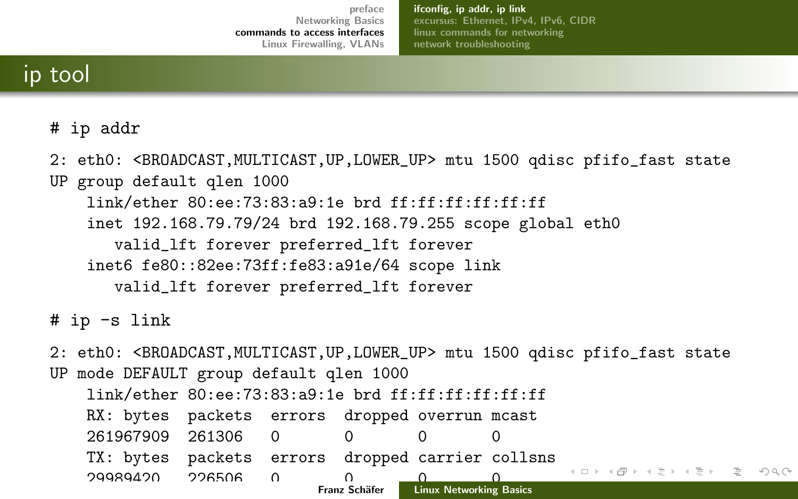[ifconfig, ip addr, ip link](#page-7-0) [excursus: Ethernet, IPv4, IPv6, CIDR](#page-9-0) [linux commands for networking](#page-14-0) [network troubleshooting](#page-25-0)

## ip tool

#### # ip addr

2: eth0: <BROADCAST, MULTICAST, UP, LOWER UP> mtu 1500 qdisc pfifo fast state UP group default qlen 1000 link/ether 80:ee:73:83:a9:1e brd ff:ff:ff:ff:ff:ff inet 192.168.79.79/24 brd 192.168.79.255 scope global eth0 valid\_lft forever preferred\_lft forever inet6 fe80::82ee:73ff:fe83:a91e/64 scope link valid\_lft forever preferred\_lft forever

#### # ip -s link

2: eth0: <BROADCAST,MULTICAST,UP,LOWER\_UP> mtu 1500 qdisc pfifo\_fast state UP mode DEFAULT group default qlen 1000

|                                       | $link/ether$ 80:ee:73:83:a9:1e brd ff:ff:ff:ff:ff:ff:ff |  |  |  |  |  |                                       |  |  |
|---------------------------------------|---------------------------------------------------------|--|--|--|--|--|---------------------------------------|--|--|
|                                       | RX: bytes packets errors dropped overrun mcast          |  |  |  |  |  |                                       |  |  |
|                                       | 261967909 261306 0 0 0                                  |  |  |  |  |  |                                       |  |  |
|                                       | TX: bytes packets errors dropped carrier collsns        |  |  |  |  |  |                                       |  |  |
|                                       |                                                         |  |  |  |  |  | - K ロ > K @ > K ミ > K ミ > → ミ → ⊙ Q Q |  |  |
| Franz Schäfer Linux Networking Basics |                                                         |  |  |  |  |  |                                       |  |  |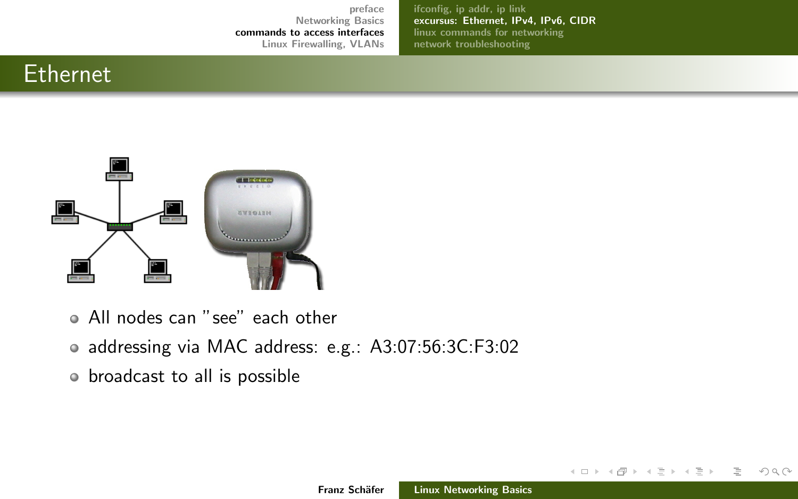[ifconfig, ip addr, ip link](#page-7-0) [excursus: Ethernet, IPv4, IPv6, CIDR](#page-9-0) [linux commands for networking](#page-14-0) [network troubleshooting](#page-25-0)

## <span id="page-9-0"></span>Ethernet



- All nodes can "see" each other
- addressing via MAC address: e.g.: A3:07:56:3C:F3:02
- broadcast to all is possible

イロト イ御 トイモト イモト

三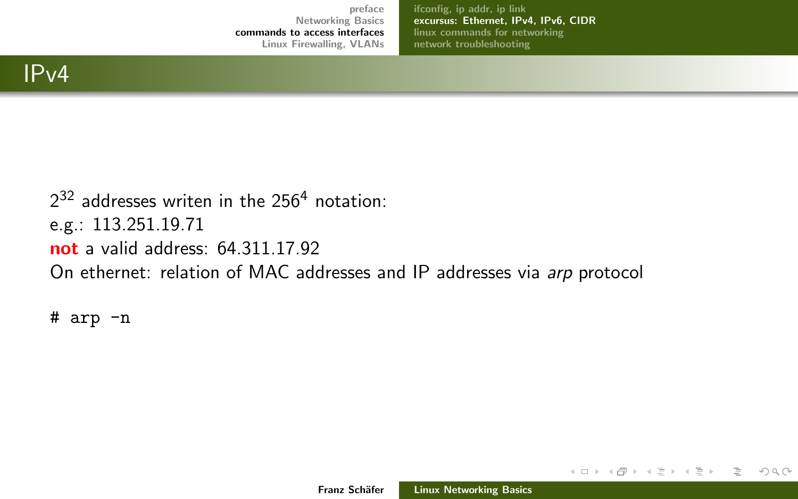[ifconfig, ip addr, ip link](#page-7-0) [excursus: Ethernet, IPv4, IPv6, CIDR](#page-9-0) [linux commands for networking](#page-14-0) [network troubleshooting](#page-25-0)

 $2^{32}$  addresses writen in the 256<sup>4</sup> notation: e.g.: 113.251.19.71 not a valid address: 64.311.17.92 On ethernet: relation of MAC addresses and IP addresses via arp protocol

# arp -n

イロン イ母ン イミン イミン

目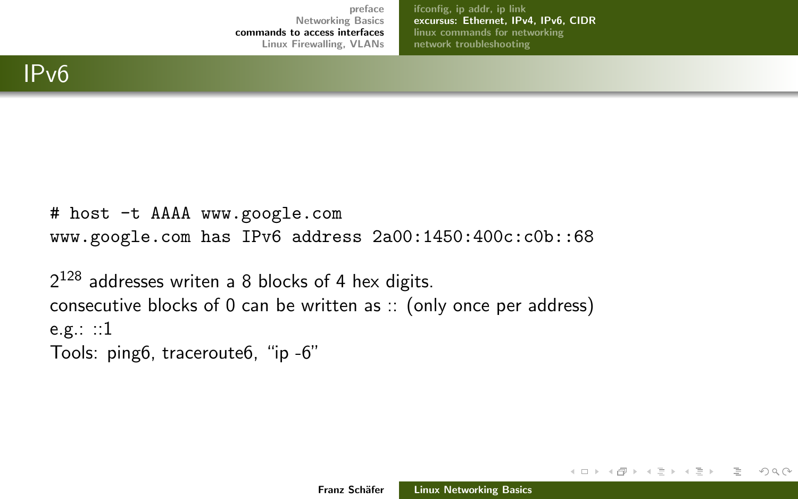[ifconfig, ip addr, ip link](#page-7-0) [excursus: Ethernet, IPv4, IPv6, CIDR](#page-9-0) [linux commands for networking](#page-14-0) [network troubleshooting](#page-25-0)

```
# host -t AAAA www.google.com
www.google.com has IPv6 address 2a00:1450:400c:c0b::68
```
 $2^{128}$  addresses writen a 8 blocks of 4 hex digits. consecutive blocks of 0 can be written as :: (only once per address) e.g.:  $::1$ Tools: ping6, traceroute6, "ip -6"

イロン イ母ン イミン イミン

 $OQ$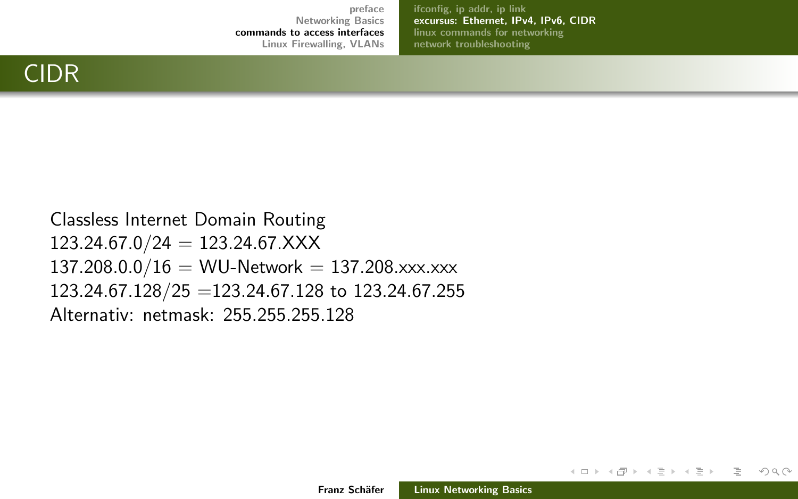[ifconfig, ip addr, ip link](#page-7-0) [excursus: Ethernet, IPv4, IPv6, CIDR](#page-9-0) [linux commands for networking](#page-14-0) [network troubleshooting](#page-25-0)

## CIDR

Classless Internet Domain Routing  $123.24.67.0/24 = 123.24.67.XXX$  $137.208.0.0/16 = \text{WU-Network} = 137.208.\text{xxx}. \text{xxx}$ 123.24.67.128/25 =123.24.67.128 to 123.24.67.255 Alternativ: netmask: 255.255.255.128

イロン イ母ン イミン イミン

 $OQ$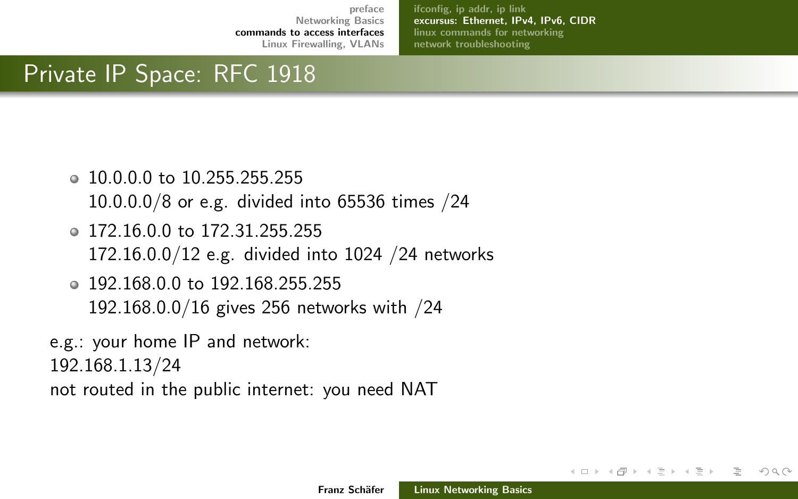[ifconfig, ip addr, ip link](#page-7-0) [excursus: Ethernet, IPv4, IPv6, CIDR](#page-9-0) [linux commands for networking](#page-14-0) [network troubleshooting](#page-25-0)

## Private IP Space: RFC 1918

- 10.0.0.0 to 10.255.255.255 10.0.0.0/8 or e.g. divided into 65536 times /24
- 172.16.0.0 to 172.31.255.255 172.16.0.0/12 e.g. divided into 1024 /24 networks
- 192.168.0.0 to 192.168.255.255 192.168.0.0/16 gives 256 networks with /24

e.g.: your home IP and network:

192.168.1.13/24

not routed in the public internet: you need NAT

∢ロト ∢母 ト ∢ ミト ∢ ミト

つくい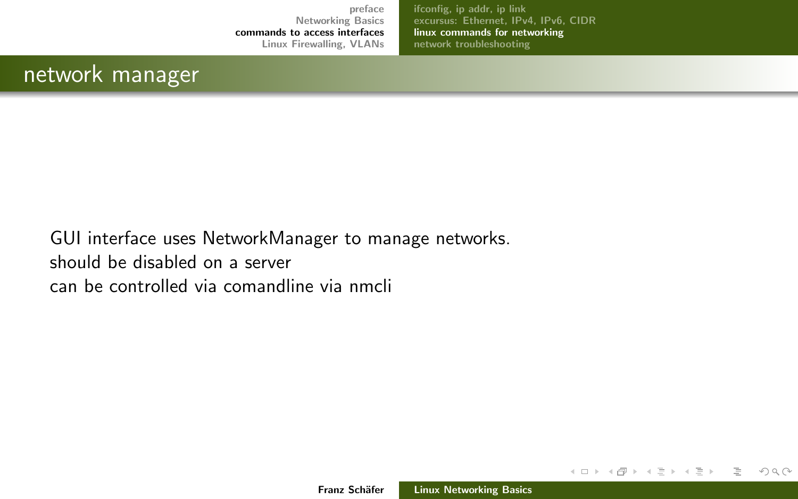[ifconfig, ip addr, ip link](#page-7-0) [excursus: Ethernet, IPv4, IPv6, CIDR](#page-9-0) [linux commands for networking](#page-14-0) [network troubleshooting](#page-25-0)

## <span id="page-14-0"></span>network manager

GUI interface uses NetworkManager to manage networks. should be disabled on a server can be controlled via comandline via nmcli

イロン イ母ン イミン イミン

 $\equiv$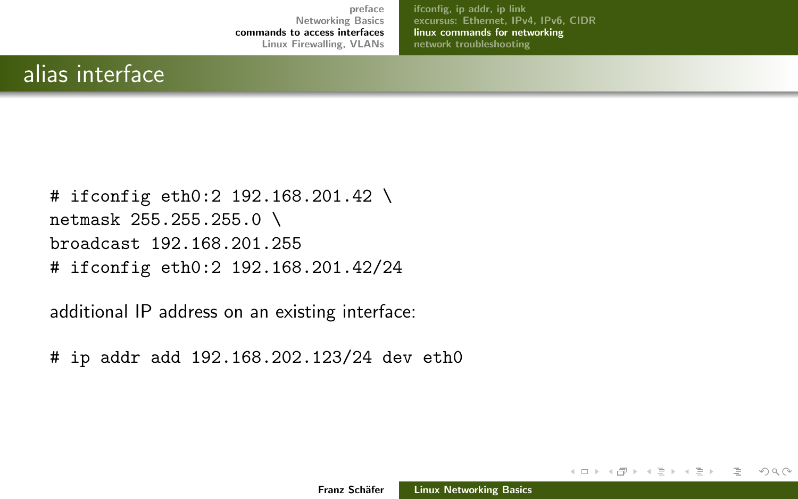[ifconfig, ip addr, ip link](#page-7-0) [excursus: Ethernet, IPv4, IPv6, CIDR](#page-9-0) [linux commands for networking](#page-14-0) [network troubleshooting](#page-25-0)

## alias interface

# ifconfig eth0:2 192.168.201.42 \ netmask 255.255.255.0 \ broadcast 192.168.201.255 # ifconfig eth0:2 192.168.201.42/24

additional IP address on an existing interface:

# ip addr add 192.168.202.123/24 dev eth0

イロン イ母ン イミン イミン

 $OQ$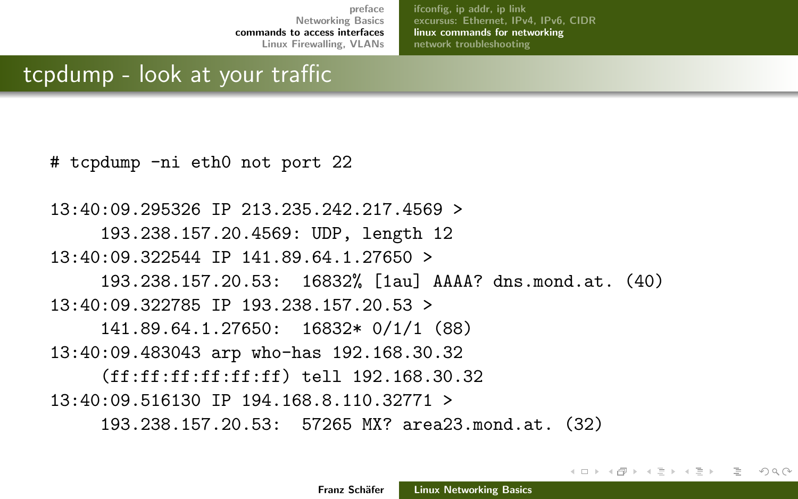[ifconfig, ip addr, ip link](#page-7-0) [excursus: Ethernet, IPv4, IPv6, CIDR](#page-9-0) [linux commands for networking](#page-14-0) [network troubleshooting](#page-25-0)

∢ロト ∢母 ト ∢ ミト ∢ ミト

 $\Omega$ 

## tcpdump - look at your traffic

# tcpdump -ni eth0 not port 22

13:40:09.295326 IP 213.235.242.217.4569 > 193.238.157.20.4569: UDP, length 12 13:40:09.322544 IP 141.89.64.1.27650 > 193.238.157.20.53: 16832% [1au] AAAA? dns.mond.at. (40) 13:40:09.322785 IP 193.238.157.20.53 > 141.89.64.1.27650: 16832\* 0/1/1 (88) 13:40:09.483043 arp who-has 192.168.30.32 (ff:ff:ff:ff:ff:ff) tell 192.168.30.32 13:40:09.516130 IP 194.168.8.110.32771 > 193.238.157.20.53: 57265 MX? area23.mond.at. (32)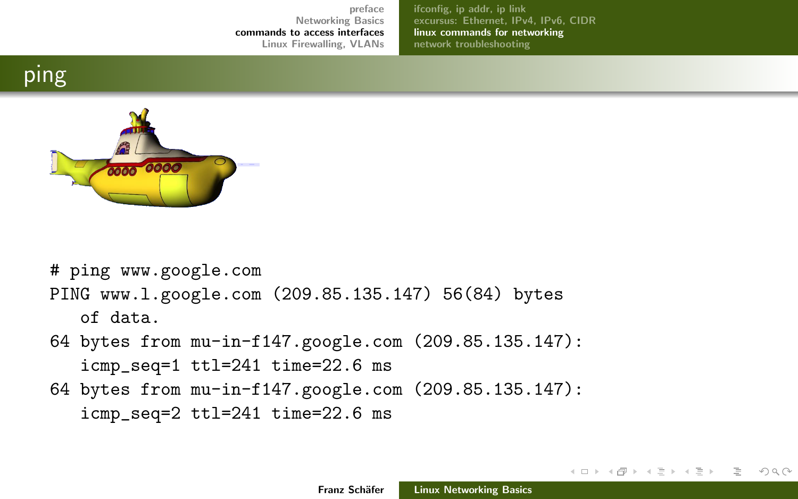[ifconfig, ip addr, ip link](#page-7-0) [excursus: Ethernet, IPv4, IPv6, CIDR](#page-9-0) [linux commands for networking](#page-14-0) [network troubleshooting](#page-25-0)

## ping



# ping www.google.com PING www.l.google.com (209.85.135.147) 56(84) bytes of data.

- 64 bytes from mu-in-f147.google.com (209.85.135.147): icmp\_seq=1 ttl=241 time=22.6 ms
- 64 bytes from mu-in-f147.google.com (209.85.135.147): icmp\_seq=2 ttl=241 time=22.6 ms

イロン イ母ン イミン イミン

 $OQ$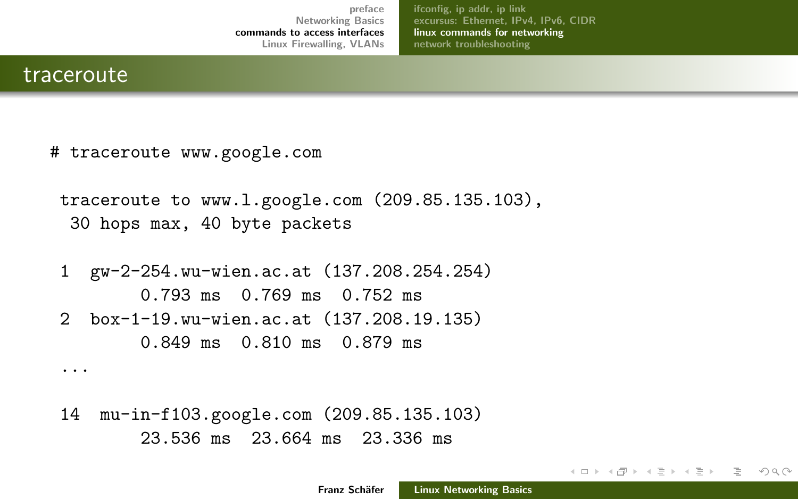[ifconfig, ip addr, ip link](#page-7-0) [excursus: Ethernet, IPv4, IPv6, CIDR](#page-9-0) [linux commands for networking](#page-14-0) [network troubleshooting](#page-25-0)

#### traceroute

...

# traceroute www.google.com

```
traceroute to www.l.google.com (209.85.135.103),
 30 hops max, 40 byte packets
```
1 gw-2-254.wu-wien.ac.at (137.208.254.254) 0.793 ms 0.769 ms 0.752 ms 2 box-1-19.wu-wien.ac.at (137.208.19.135) 0.849 ms 0.810 ms 0.879 ms

```
14 mu-in-f103.google.com (209.85.135.103)
       23.536 ms 23.664 ms 23.336 ms
```
イロト イ部 トイヨ トイヨ トー

 $OQ$ ミー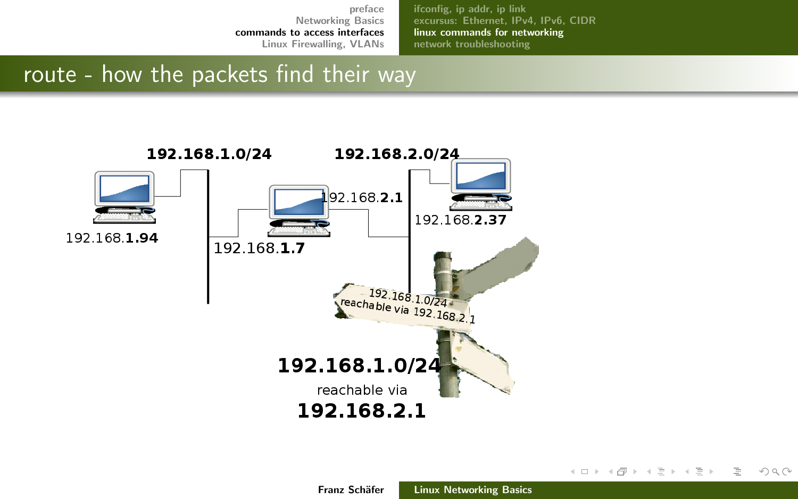[ifconfig, ip addr, ip link](#page-7-0) [excursus: Ethernet, IPv4, IPv6, CIDR](#page-9-0) [linux commands for networking](#page-14-0) [network troubleshooting](#page-25-0)

## route - how the packets find their way



イロト イ部 トイモト イモト

 $OQ$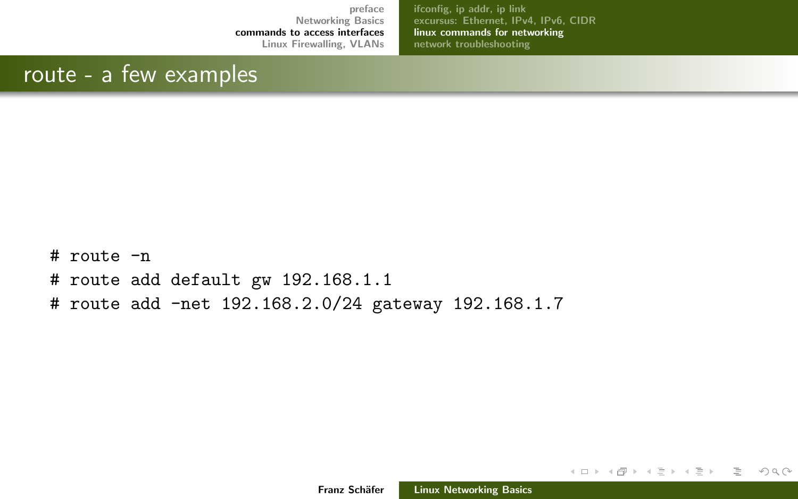[ifconfig, ip addr, ip link](#page-7-0) [excursus: Ethernet, IPv4, IPv6, CIDR](#page-9-0) [linux commands for networking](#page-14-0) [network troubleshooting](#page-25-0)

## route - a few examples

 $#$  route  $-n$ # route add default gw 192.168.1.1 # route add -net 192.168.2.0/24 gateway 192.168.1.7

イロン イ母ン イミン イミン

 $\equiv$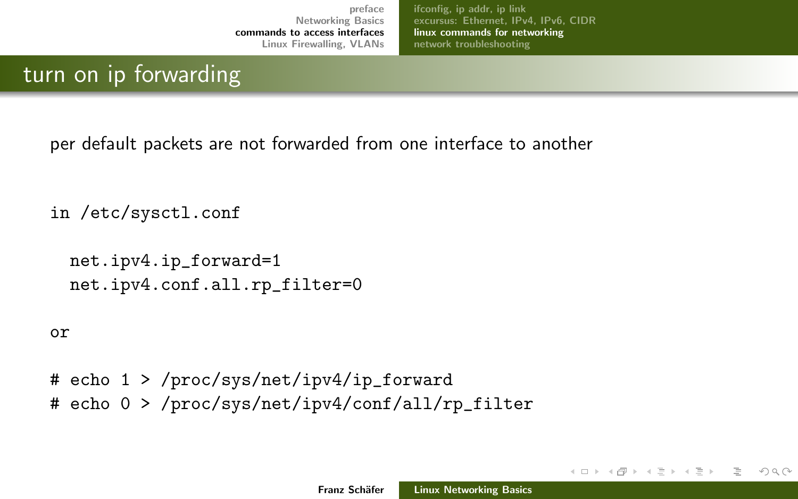[ifconfig, ip addr, ip link](#page-7-0) [excursus: Ethernet, IPv4, IPv6, CIDR](#page-9-0) [linux commands for networking](#page-14-0) [network troubleshooting](#page-25-0)

## turn on ip forwarding

per default packets are not forwarded from one interface to another

in /etc/sysctl.conf

```
net.ipv4.ip_forward=1
net.ipv4.conf.all.rp_filter=0
```
or

# echo 1 > /proc/sys/net/ipv4/ip\_forward # echo 0 > /proc/sys/net/ipv4/conf/all/rp\_filter

イロト イ部 トイモト イモト

つくい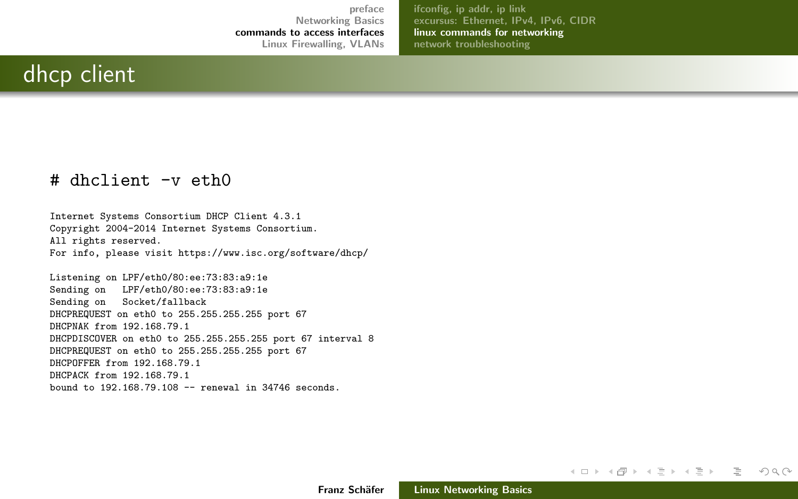[ifconfig, ip addr, ip link](#page-7-0) [excursus: Ethernet, IPv4, IPv6, CIDR](#page-9-0) [linux commands for networking](#page-14-0) [network troubleshooting](#page-25-0)

## dhcp client

#### # dhclient -v eth0

Internet Systems Consortium DHCP Client 4.3.1 Copyright 2004-2014 Internet Systems Consortium. All rights reserved. For info, please visit https://www.isc.org/software/dhcp/

Listening on LPF/eth0/80:ee:73:83:a9:1e Sending on LPF/eth0/80:ee:73:83:a9:1e Sending on Socket/fallback DHCPREQUEST on eth0 to 255.255.255.255 port 67 DHCPNAK from 192.168.79.1 DHCPDISCOVER on eth0 to 255.255.255.255 port 67 interval 8 DHCPREQUEST on eth0 to 255.255.255.255 port 67 DHCPOFFER from 192.168.79.1 DHCPACK from 192.168.79.1 bound to 192.168.79.108 -- renewal in 34746 seconds.

イロト イ押 トイヨ トイヨト

目。  $OQ$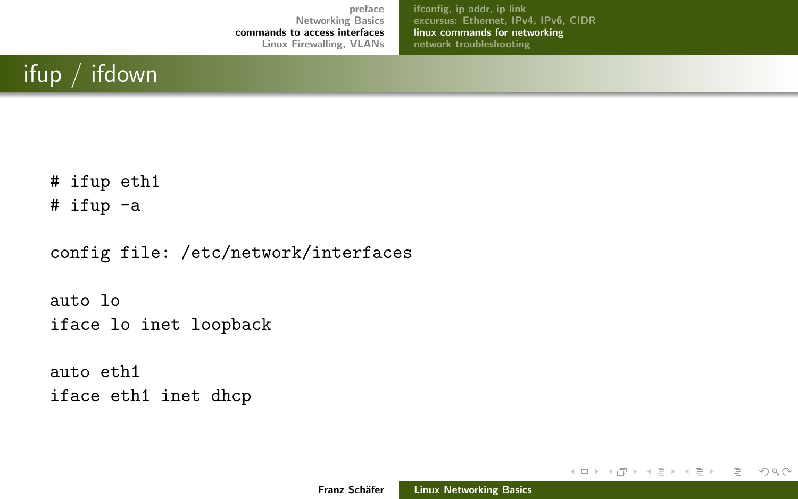[ifconfig, ip addr, ip link](#page-7-0) [excursus: Ethernet, IPv4, IPv6, CIDR](#page-9-0) [linux commands for networking](#page-14-0) [network troubleshooting](#page-25-0)

# ifup / ifdown

# ifup eth1

# ifup -a

config file: /etc/network/interfaces

auto lo iface lo inet loopback

auto eth1 iface eth1 inet dhcp

イロン イ母ン イミン イミン

 $\equiv$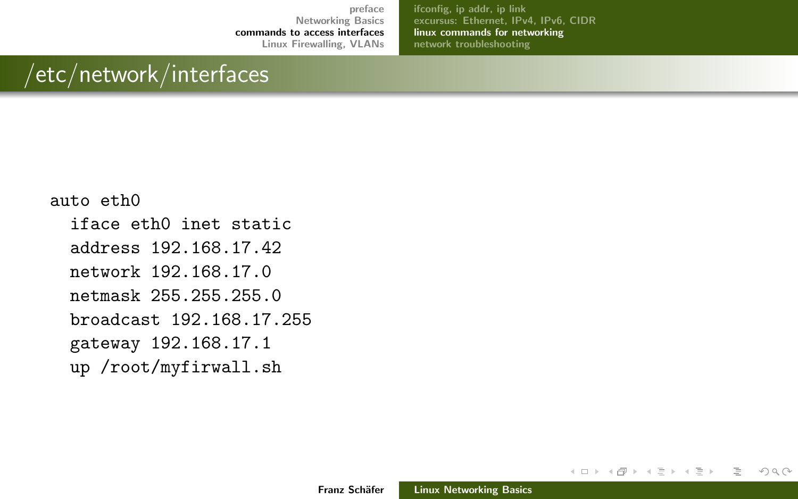[ifconfig, ip addr, ip link](#page-7-0) [excursus: Ethernet, IPv4, IPv6, CIDR](#page-9-0) [linux commands for networking](#page-14-0) [network troubleshooting](#page-25-0)

# /etc/network/interfaces

#### auto eth0

iface eth0 inet static

address 192.168.17.42

network 192.168.17.0

netmask 255.255.255.0

broadcast 192.168.17.255

gateway 192.168.17.1

up /root/myfirwall.sh

イロン イ母ン イミン イミン

 $\equiv$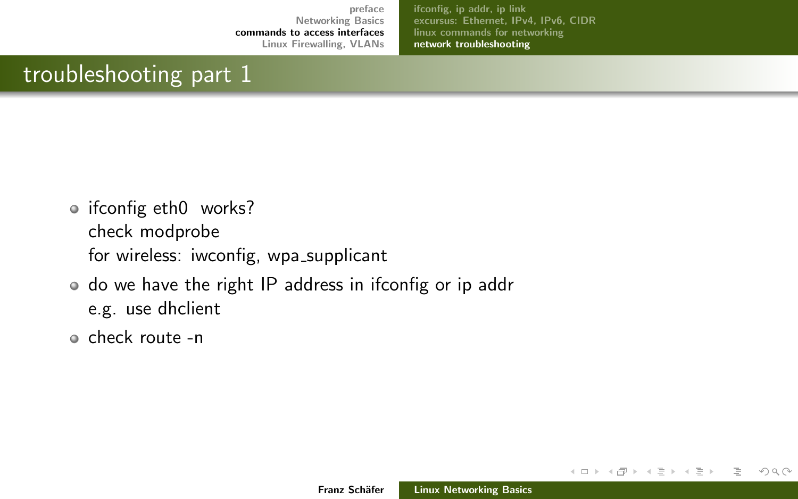[ifconfig, ip addr, ip link](#page-7-0) [excursus: Ethernet, IPv4, IPv6, CIDR](#page-9-0) [linux commands for networking](#page-14-0) [network troubleshooting](#page-25-0)

## <span id="page-25-0"></span>troubleshooting part 1

- ifconfig eth0 works? check modprobe for wireless: iwconfig, wpa\_supplicant
- do we have the right IP address in ifconfig or ip addr e.g. use dhclient
- check route -n

イロト イ部 トイモト イモト

 $OQ$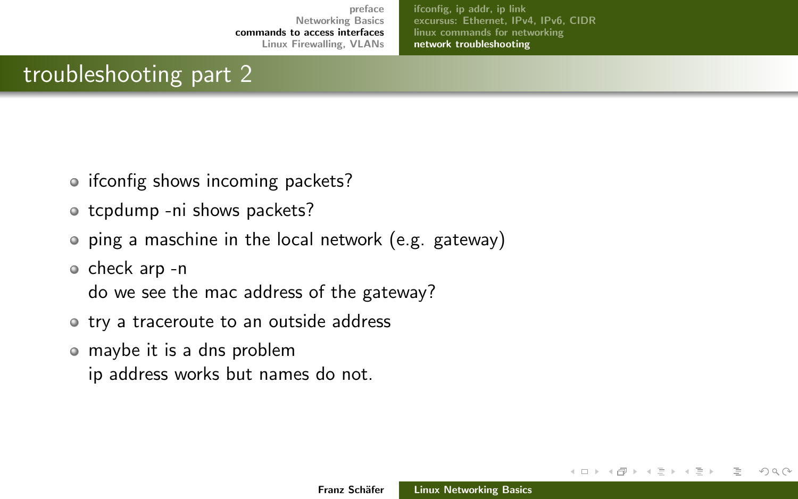[ifconfig, ip addr, ip link](#page-7-0) [excursus: Ethernet, IPv4, IPv6, CIDR](#page-9-0) [linux commands for networking](#page-14-0) [network troubleshooting](#page-25-0)

## troubleshooting part 2

- ifconfig shows incoming packets?
- o tcpdump -ni shows packets?
- ping a maschine in the local network (e.g. gateway)
- check arp -n

do we see the mac address of the gateway?

- try a traceroute to an outside address
- maybe it is a dns problem ip address works but names do not.

∢ロト ∢母 ト ∢ ミト ∢ ミト

つくい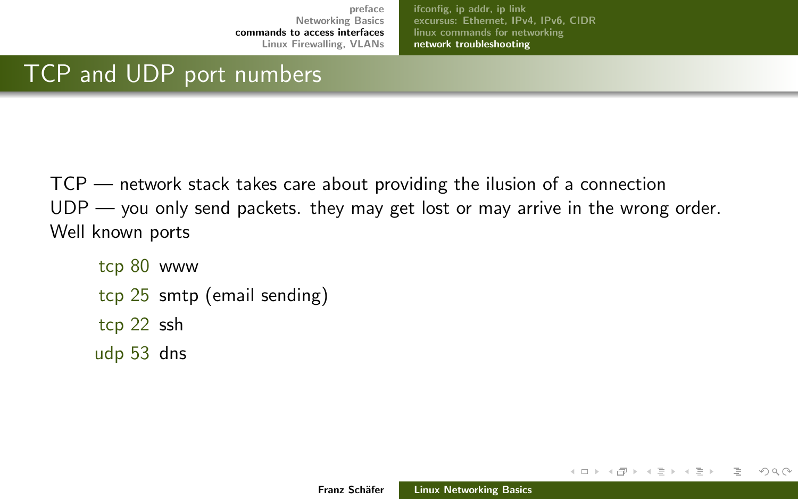[ifconfig, ip addr, ip link](#page-7-0) [excursus: Ethernet, IPv4, IPv6, CIDR](#page-9-0) [linux commands for networking](#page-14-0) [network troubleshooting](#page-25-0)

## TCP and UDP port numbers

TCP — network stack takes care about providing the ilusion of a connection UDP — you only send packets. they may get lost or may arrive in the wrong order. Well known ports

```
tcp 80 www
tcp 25 smtp (email sending)
tcp 22 ssh
udp 53 dns
```
イロン イ母ン イミン イミン

目

つくい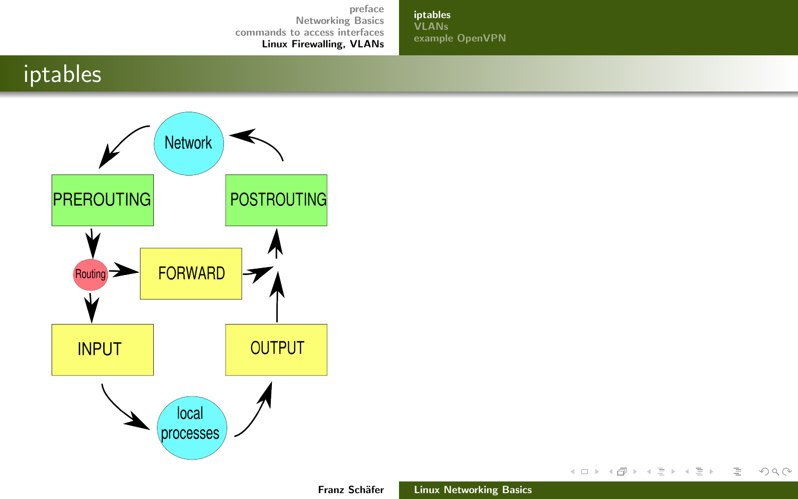[iptables](#page-28-0) [VLANs](#page-31-0) [example OpenVPN](#page-34-0)

## <span id="page-28-0"></span>iptables



イロト イ部 トイミト イミト

 $\equiv$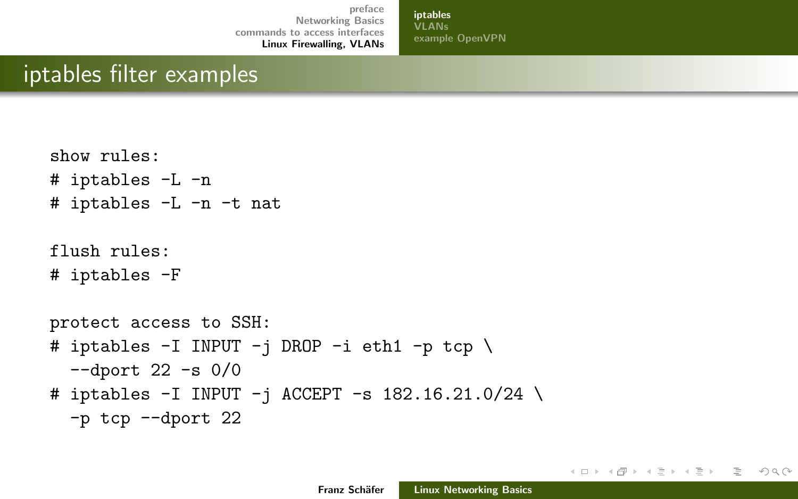[iptables](#page-28-0) **VI ANs** [example OpenVPN](#page-34-0)

## iptables filter examples

```
show rules:
# iptables -L -n
# iptables -L -n -t nat
flush rules:
# iptables -F
protect access to SSH:
# iptables -I INPUT -j DROP -i eth1 -p tcp \
  -dport 22 -s 0/0# iptables -I INPUT -i ACCEPT -s 182.16.21.0/24 \
  -p tcp --dport 22
```
イロン イ母ン イミン イヨン 一店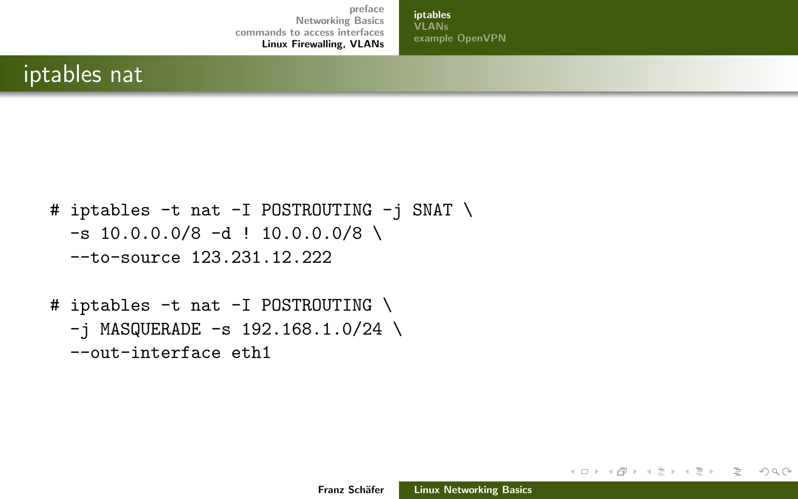[iptables](#page-28-0) **[VLANs](#page-31-0)** [example OpenVPN](#page-34-0)

## iptables nat

```
# iptables -t nat -I POSTROUTING -j SNAT \
 -s 10.0.0.0/8 -d ! 10.0.0.0/8 \
 --to-source 123.231.12.222
```

```
# iptables -t nat -I POSTROUTING \
  -i MASQUERADE -s 192.168.1.0/24 \
  --out-interface eth1
```
イロン イ母ン イミン イヨン

目  $OQ$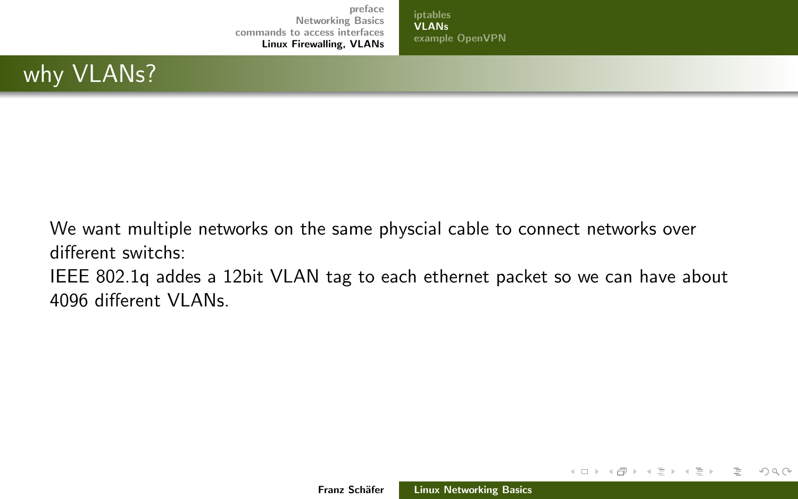[iptables](#page-28-0) [VLANs](#page-31-0) [example OpenVPN](#page-34-0)

## <span id="page-31-0"></span>why **VLANs?**

We want multiple networks on the same physcial cable to connect networks over different switchs: IEEE 802.1q addes a 12bit VLAN tag to each ethernet packet so we can have about 4096 different VLANs.

イロン イ母ン イミン イミン

 $\equiv$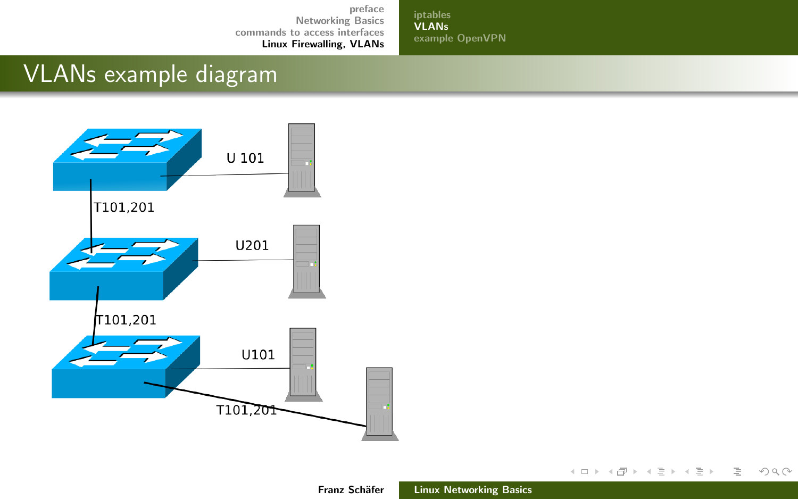[iptables](#page-28-0) [VLANs](#page-31-0) [example OpenVPN](#page-34-0)

# VLANs example diagram

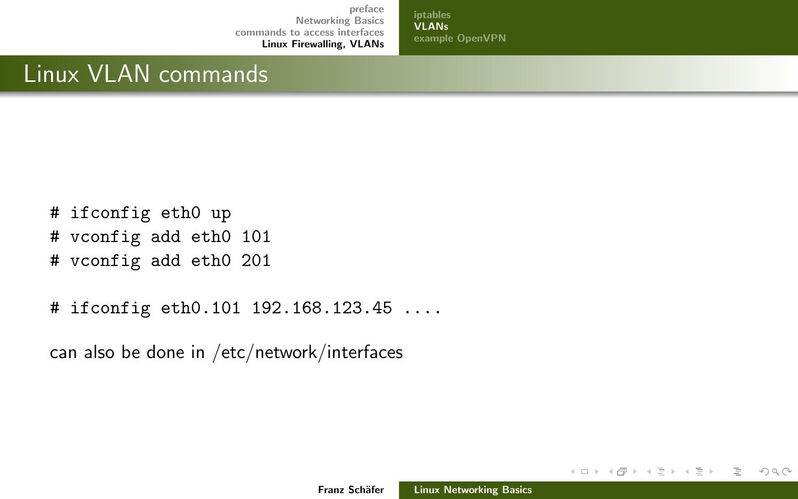[iptables](#page-28-0) [VLANs](#page-31-0) [example OpenVPN](#page-34-0)

# Linux VLAN commands

- # ifconfig eth0 up
- # vconfig add eth0 101
- # vconfig add eth0 201
- # ifconfig eth0.101 192.168.123.45 ....

can also be done in /etc/network/interfaces

イロン イ母ン イミン イミン

 $\equiv$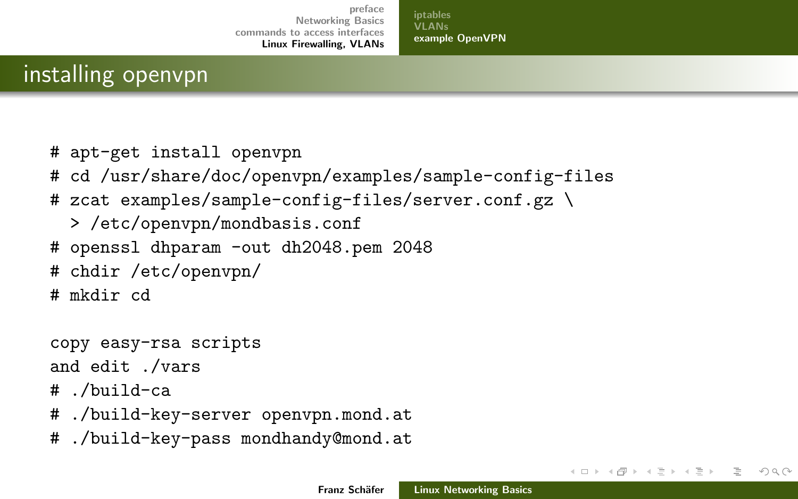[iptables](#page-28-0) [VLANs](#page-31-0) [example OpenVPN](#page-34-0)

## <span id="page-34-0"></span>installing openvpn

- # apt-get install openvpn
- # cd /usr/share/doc/openvpn/examples/sample-config-files
- # zcat examples/sample-config-files/server.conf.gz \
	- > /etc/openvpn/mondbasis.conf
- # openssl dhparam -out dh2048.pem 2048
- # chdir /etc/openvpn/
- # mkdir cd

```
copy easy-rsa scripts
```
and edit ./vars

```
# ./build-ca
```
- # ./build-key-server openvpn.mond.at
- # ./build-key-pass mondhandy@mond.at

イロン イ母ン イミン イミン

 $OQ$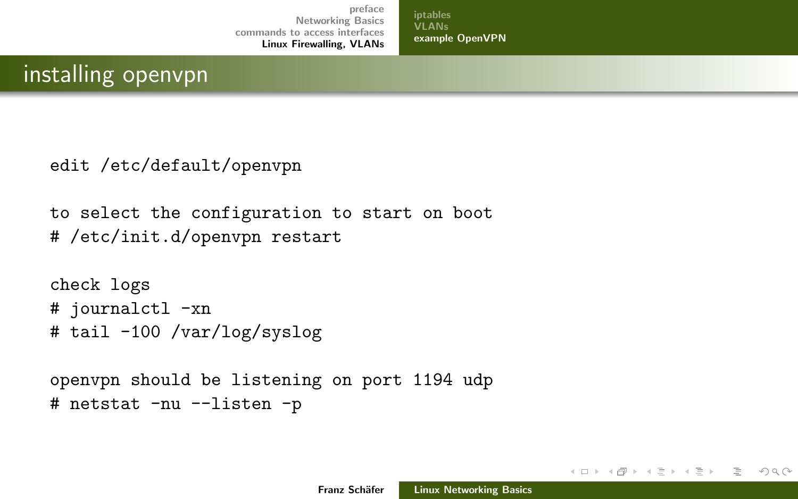[iptables](#page-28-0) [VLANs](#page-31-0) [example OpenVPN](#page-34-0)

## installing openvpn

```
edit /etc/default/openvpn
```

```
to select the configuration to start on boot
# /etc/init.d/openvpn restart
```

```
check logs
# journalctl -xn
# tail -100 /var/log/syslog
```

```
openvpn should be listening on port 1194 udp
# netstat -nu --listen -p
```
イロン イ母ン イミン イミン

 $OQ$ 

E.